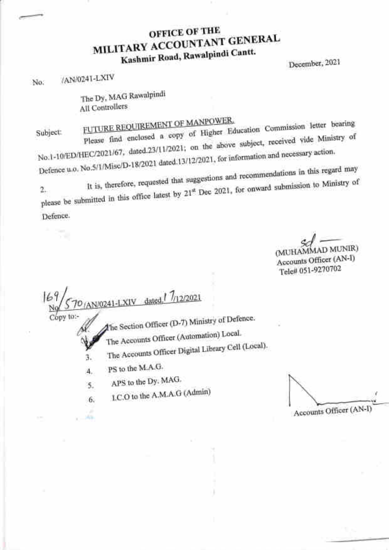# OFFICE OF THE MILITARY ACCOUNTANT GENERAL Kashmir Road, Rawalpindi Cantt.

December, 2021

No. /AN/0241-LXIV

The Dy, MAG Rawalpindi All Controllers

Subject: FUTURE REQUIREMENT OF MANEY RESEARCH Commission letter bearing Please find enclosed a copy on the above subject, received vide Ministry of No.1-10/ED/HEC/2021/67, dated.23/11/2021; Defence u.o. No.5/1/Misc/D-18/2021 dated.13/12/2021, for information and necessary action.

It is, therefore, requested that suggestions and recommendations in this regard may 2. It is, therefore, requested that suggestions and  $\sim$  1. The submission to Ministry of please be submitted in this office

Defence.

 $^{\prime\prime}$ 

D MUNIR) Accounts Officer (AN-I) Tele# 051 -9270702

 $|E|$ N/0241-LXIV dated 7/12/2021 to:- The Section Officer (D-7) Ministry of Defence.

The Accounts Officer (Automation) Local.

The Accounts Officer Digital Library Cell (Local).<br>
The Accounts Officer Digital Library Cell (Local).

PS to the M.A.G. 4.

4h

APS to the Dy, MAG. 5

I.C.O to the A'M'A'G (Admin) 6.

{

Accounts Officer (AN-I)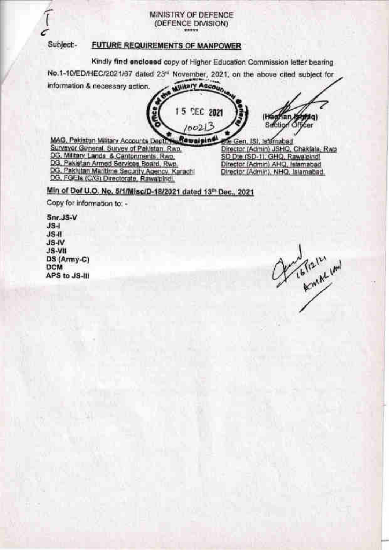#### MINISTRY OF DEFENCE (DEFENCE DIVISION) \*\*\*\*\*

### Subject -

## **FUTURE REQUIREMENTS OF MANPOWER**

Kindly find enclosed copy of Higher Education Commission letter bearing No.1-10/ED/HEC/2021/67 dated 23rd November, 2021, on the above cited subject for

information & necessary action. Military Account 15 DEC 2021 (Hamiltan Angelan)<br>Suiction Officer

 $100213$ 

MAG, Pakistan Military Accounts Depth Auflewalping Surveyor General, Survey of Pakistan, Rwp. DG, Military Lands & Cantonments, Rwp. DG, Pakistan Armed Services Board, Rwp. DG, Pakistan Maritime Security Agency, Karachi DG, FGEIs (C/G) Directorate, Rawalpindi,

ne Gen, ISI, Islamabad Director (Admin) JSHQ, Chaklala, Rwp SD Dte (SD-1), GHQ, Rawalpindi Director (Admin) AHQ, Islamabad Director (Admin), NHQ, Islamabad.

Min of Def U.O. No. 5/1/Misc/D-18/2021 dated 13th Dec., 2021

Copy for information to: -

Snr.JS-V  $JS-1$  $JS-II$ JS-IV JS-VII DS (Army-C) **DCM** APS to JS-III

Constitution